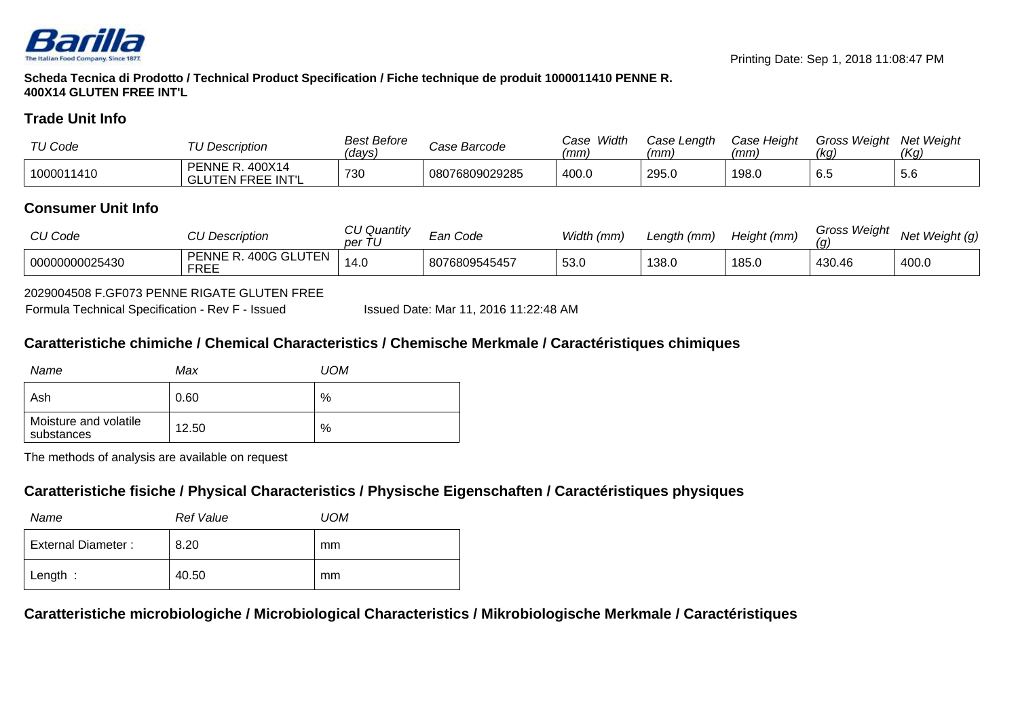

**Scheda Tecnica di Prodotto / Technical Product Specification / Fiche technique de produit 1000011410 PENNE R.400X14 GLUTEN FREE INT'L**

## **Trade Unit Info**

| TU Code    | TU Description                              | <b>Best Before</b><br>days) | Case Barcode   | Width<br>Case<br>(mm) | Case Length<br>(mm) | Case Height<br>(mm) | Gross Weiaht<br>(kg) | <b>Net Weight</b><br>(Kg |
|------------|---------------------------------------------|-----------------------------|----------------|-----------------------|---------------------|---------------------|----------------------|--------------------------|
| 1000011410 | <b>PENNE R. 400X14</b><br>GLUTEN FREE INT'L | 730                         | 08076809029285 | 400.0                 | 295.0               | 198.C               | $\sim$<br>6.5        | $\sim$<br>5.b            |

## **Consumer Unit Info**

| CU Code        | <b>CU Description</b>                     | <b>CU Quantity</b><br>per | <i>≡an Code</i> | Width (mm) | Length (mm) | Height (mm) | <b>Gross Weight</b><br>(a | Net Weight (g) |
|----------------|-------------------------------------------|---------------------------|-----------------|------------|-------------|-------------|---------------------------|----------------|
| 00000000025430 | . 400G GLUTEN<br>. PENNE R<br><b>FREE</b> | 14.0                      | 8076809545457   | 53.0       | 138.0       | 185.0       | 430.46                    | 400.0          |

### 2029004508 F.GF073 PENNE RIGATE GLUTEN FREE

Formula Technical Specification - Rev F - Issued

Issued Date: Mar 11, 2016 11:22:48 AM

## **Caratteristiche chimiche / Chemical Characteristics / Chemische Merkmale / Caractéristiques chimiques**

| Name                                | Max   | <b>UOM</b> |
|-------------------------------------|-------|------------|
| Ash                                 | 0.60  | %          |
| Moisture and volatile<br>substances | 12.50 | %          |

The methods of analysis are available on request

# **Caratteristiche fisiche / Physical Characteristics / Physische Eigenschaften / Caractéristiques physiques**

| Name               | <b>Ref Value</b> | UOM |
|--------------------|------------------|-----|
| External Diameter: | 8.20             | mm  |
| Length:            | 40.50            | mm  |

**Caratteristiche microbiologiche / Microbiological Characteristics / Mikrobiologische Merkmale / Caractéristiques**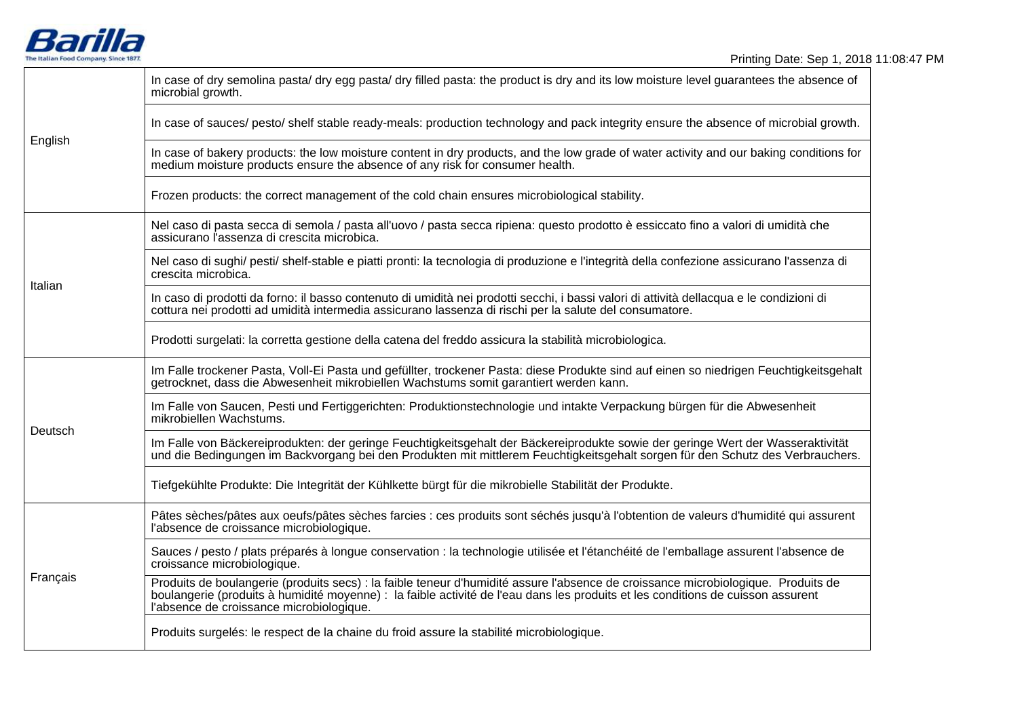

| English  | In case of dry semolina pasta/dry egg pasta/dry filled pasta: the product is dry and its low moisture level guarantees the absence of<br>microbial growth.                                                                                                                                                       |
|----------|------------------------------------------------------------------------------------------------------------------------------------------------------------------------------------------------------------------------------------------------------------------------------------------------------------------|
|          | In case of sauces/ pesto/ shelf stable ready-meals: production technology and pack integrity ensure the absence of microbial growth.                                                                                                                                                                             |
|          | In case of bakery products: the low moisture content in dry products, and the low grade of water activity and our baking conditions for<br>medium moisture products ensure the absence of any risk for consumer health.                                                                                          |
|          | Frozen products: the correct management of the cold chain ensures microbiological stability.                                                                                                                                                                                                                     |
| Italian  | Nel caso di pasta secca di semola / pasta all'uovo / pasta secca ripiena: questo prodotto è essiccato fino a valori di umidità che<br>assicurano l'assenza di crescita microbica.                                                                                                                                |
|          | Nel caso di sughi/ pesti/ shelf-stable e piatti pronti: la tecnologia di produzione e l'integrità della confezione assicurano l'assenza di<br>crescita microbica.                                                                                                                                                |
|          | In caso di prodotti da forno: il basso contenuto di umidità nei prodotti secchi, i bassi valori di attività dellacqua e le condizioni di<br>cottura nei prodotti ad umidità intermedia assicurano lassenza di rischi per la salute del consumatore.                                                              |
|          | Prodotti surgelati: la corretta gestione della catena del freddo assicura la stabilità microbiologica.                                                                                                                                                                                                           |
| Deutsch  | Im Falle trockener Pasta, Voll-Ei Pasta und gefüllter, trockener Pasta: diese Produkte sind auf einen so niedrigen Feuchtigkeitsgehalt<br>getrocknet, dass die Abwesenheit mikrobiellen Wachstums somit garantiert werden kann.                                                                                  |
|          | Im Falle von Saucen, Pesti und Fertiggerichten: Produktionstechnologie und intakte Verpackung bürgen für die Abwesenheit<br>mikrobiellen Wachstums.                                                                                                                                                              |
|          | Im Falle von Bäckereiprodukten: der geringe Feuchtigkeitsgehalt der Bäckereiprodukte sowie der geringe Wert der Wasseraktivität<br>und die Bedingungen im Backvorgang bei den Produkten mit mittlerem Feuchtigkeitsgehalt sorgen für den Schutz des Verbrauchers.                                                |
|          | Tiefgekühlte Produkte: Die Integrität der Kühlkette bürgt für die mikrobielle Stabilität der Produkte.                                                                                                                                                                                                           |
| Français | Pâtes sèches/pâtes aux oeufs/pâtes sèches farcies : ces produits sont séchés jusqu'à l'obtention de valeurs d'humidité qui assurent<br>l'absence de croissance microbiologique.                                                                                                                                  |
|          | Sauces / pesto / plats préparés à longue conservation : la technologie utilisée et l'étanchéité de l'emballage assurent l'absence de<br>croissance microbiologique.                                                                                                                                              |
|          | Produits de boulangerie (produits secs) : la faible teneur d'humidité assure l'absence de croissance microbiologique. Produits de<br>boulangerie (produits à humidité moyenne) : la faible activité de l'eau dans les produits et les conditions de cuisson assurent<br>l'absence de croissance microbiologique. |
|          | Produits surgelés: le respect de la chaine du froid assure la stabilité microbiologique.                                                                                                                                                                                                                         |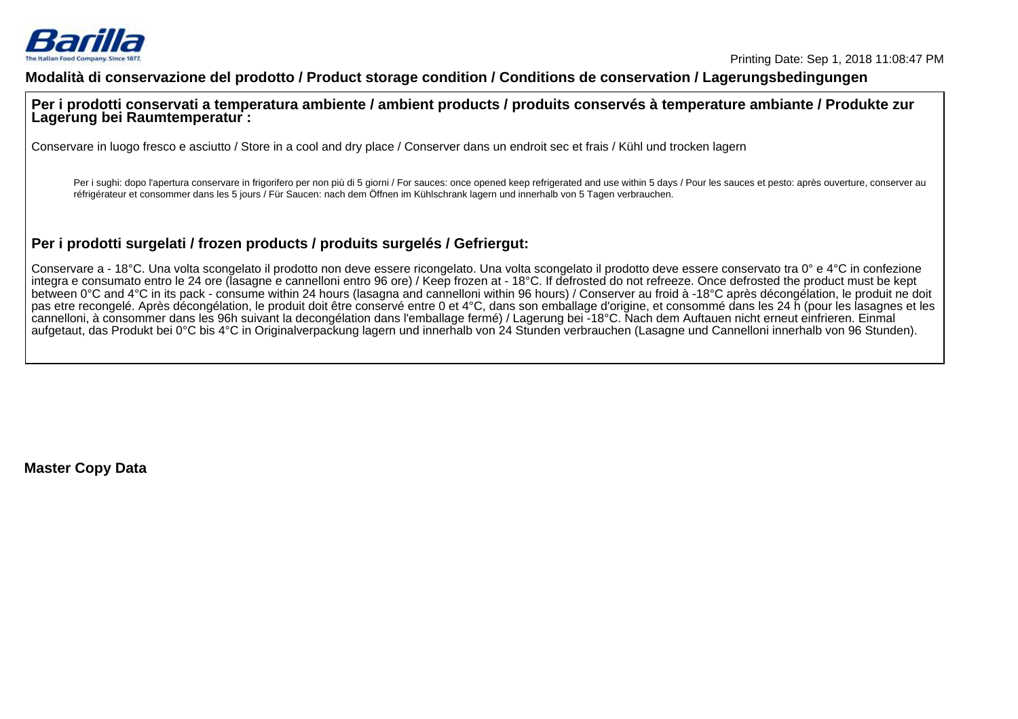

### **Modalità di conservazione del prodotto / Product storage condition / Conditions de conservation / Lagerungsbedingungen**

**Per i prodotti conservati a temperatura ambiente / ambient products / produits conservés à temperature ambiante / Produkte zurLagerung bei Raumtemperatur :**

Conservare in luogo fresco e asciutto / Store in a cool and dry place / Conserver dans un endroit sec et frais / Kühl und trocken lagern

Per i sughi: dopo l'apertura conservare in frigorifero per non più di 5 giorni / For sauces: once opened keep refrigerated and use within 5 days / Pour les sauces et pesto: après ouverture, conserver au réfrigérateur et consommer dans les 5 jours / Für Saucen: nach dem Öffnen im Kühlschrank lagern und innerhalb von 5 Tagen verbrauchen.

# **Per i prodotti surgelati / frozen products / produits surgelés / Gefriergut:**

Conservare a - 18°C. Una volta scongelato il prodotto non deve essere ricongelato. Una volta scongelato il prodotto deve essere conservato tra 0° e 4°C in confezione integra e consumato entro le 24 ore (lasagne e cannelloni entro 96 ore) / Keep frozen at - 18°C. If defrosted do not refreeze. Once defrosted the product must be kept between 0°C and 4°C in its pack - consume within 24 hours (lasagna and cannelloni within 96 hours) / Conserver au froid à -18°C après décongélation, le produit ne doit pas etre recongelé. Après décongélation, le produit doit être conservé entre 0 et 4°C, dans son emballage d'origine, et consommé dans les 24 h (pour les lasagnes et lescannelloni, à consommer dans les 96h suivant la decongélation dans l'emballage fermé) / Lagerung bei -18°C. Nach dem Auftauen nicht erneut einfrieren. Einmalaufgetaut, das Produkt bei 0°C bis 4°C in Originalverpackung lagern und innerhalb von 24 Stunden verbrauchen (Lasagne und Cannelloni innerhalb von 96 Stunden).

**Master Copy Data**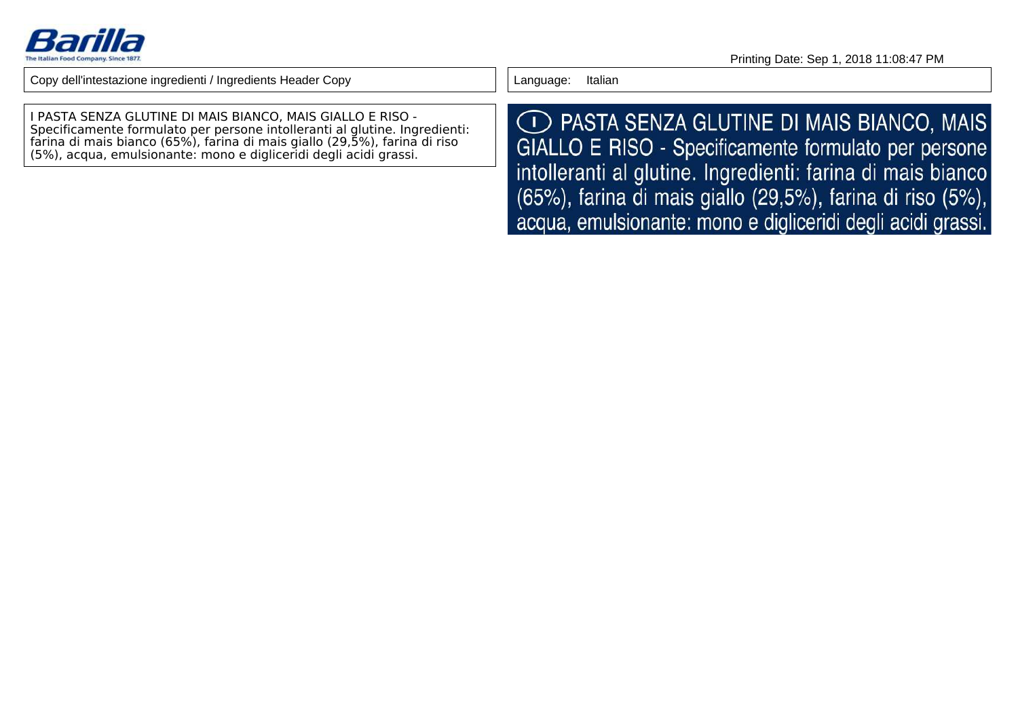

Language: Italian

I PASTA SENZA GLUTINE DI MAIS BIANCO, MAIS GIALLO E RISO - Specificamente formulato per persone intolleranti al glutine. Ingredienti: farina di mais bianco (65%), farina di mais giallo (29,5%), farina di riso(5%), acqua, emulsionante: mono e digliceridi degli acidi grassi.

◯ PASTA SENZA GLUTINE DI MAIS BIANCO, MAIS GIALLO E RISO - Specificamente formulato per persone intolleranti al glutine. Ingredienti: farina di mais bianco (65%), farina di mais giallo (29,5%), farina di riso (5%), acqua, emulsionante: mono e digliceridi degli acidi grassi.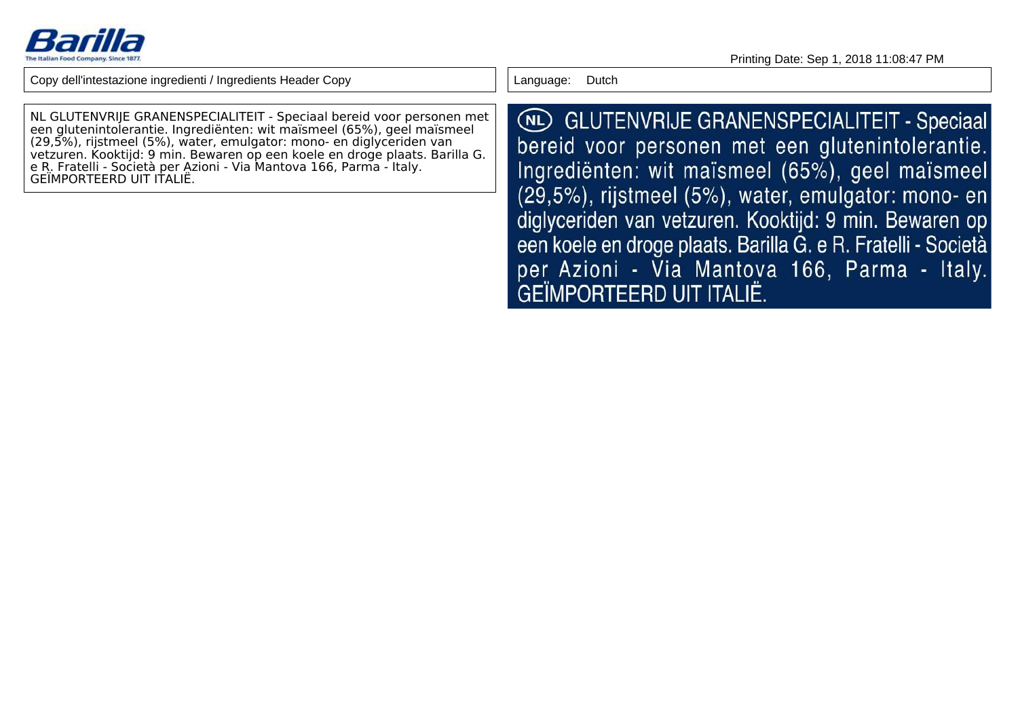

NL GLUTENVRIJE GRANENSPECIALITEIT - Speciaal bereid voor personen meteen glutenintolerantie. Ingrediënten: wit maïsmeel (65%), geel maïsmeel(29,5%), rijstmeel (5%), water, emulgator: mono- en diglyceriden van vetzuren. Kooktijd: 9 min. Bewaren op een koele en droge plaats. Barilla G.e R. Fratelli - Società per Azioni - Via Mantova 166, Parma - Italy.GEÏMPORTEERD UIT ITALIË.

Language: Dutch

**NL GLUTENVRIJE GRANENSPECIALITEIT - Speciaal** bereid voor personen met een glutenintolerantie. Ingredienten: wit maïsmeel (65%), geel maïsmeel (29,5%), rijstmeel (5%), water, emulgator: mono- en diglyceriden van vetzuren. Kooktijd: 9 min. Bewaren op een koele en droge plaats. Barilla G. e R. Fratelli - Società per Azioni - Via Mantova 166, Parma - Italy. GEÏMPORTEERD UIT ITALIË.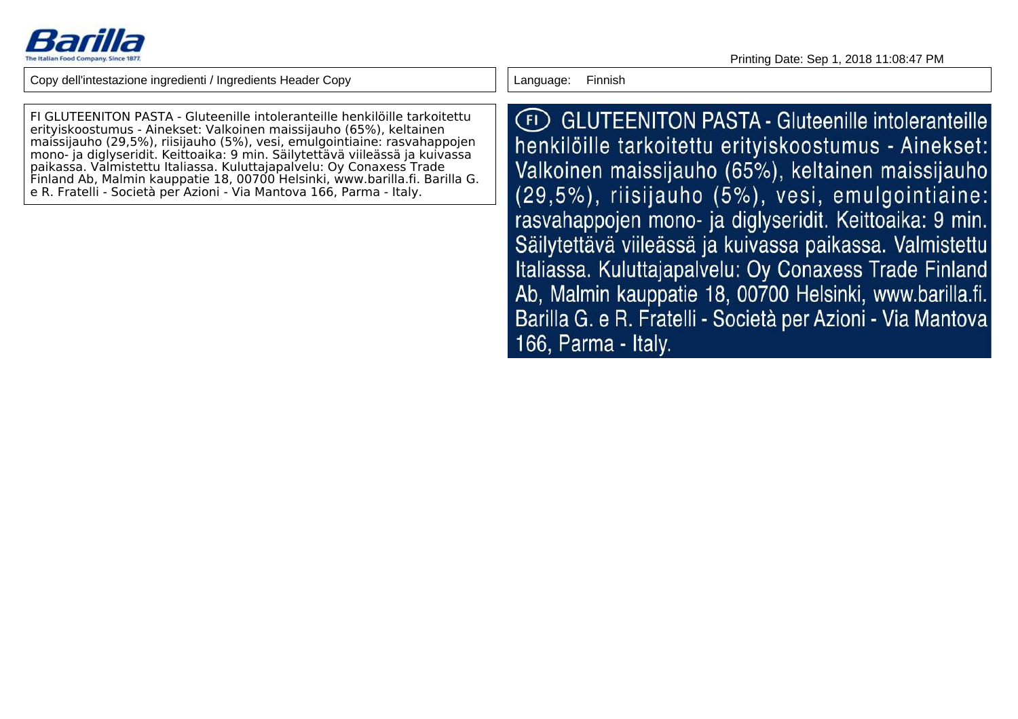

FI GLUTEENITON PASTA - Gluteenille intoleranteille henkilöille tarkoitettuerityiskoostumus - Ainekset: Valkoinen maissijauho (65%), keltainen maissijauho (29,5%), riisijauho (5%), vesi, emulgointiaine: rasvahappojen mono- ja diglyseridit. Keittoaika: 9 min. Säilytettävä viileässä ja kuivassapaikassa. Valmistettu Italiassa. Kuluttajapalvelu: Oy Conaxess Trade Finland Ab, Malmin kauppatie 18, 00700 Helsinki, www.barilla.fi. Barilla G.e R. Fratelli - Società per Azioni - Via Mantova 166, Parma - Italy.

Language: Finnish

(FI) GLUTEENITON PASTA - Gluteenille intoleranteille henkilöille tarkoitettu erityiskoostumus - Ainekset: Valkoinen maissijauho (65%), keltainen maissijauho (29,5%), riisijauho (5%), vesi, emulgointiaine: rasvahappojen mono- ja diglyseridit. Keittoaika: 9 min. Säilytettävä viileässä ja kuivassa paikassa. Valmistettu Italiassa. Kuluttajapalvelu: Oy Conaxess Trade Finland Ab, Malmin kauppatie 18, 00700 Helsinki, www.barilla.fi. Barilla G. e R. Fratelli - Società per Azioni - Via Mantova 166, Parma - Italy.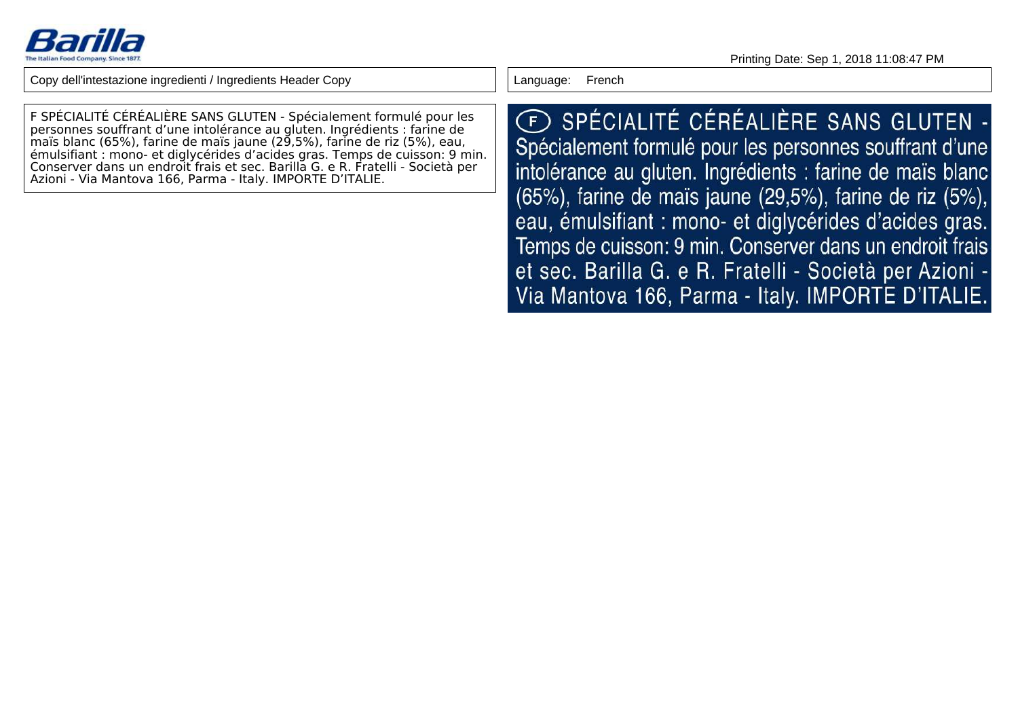

F SPÉCIALITÉ CÉRÉALIÈRE SANS GLUTEN - Spécialement formulé pour les personnes souffrant d'une intolérance au gluten. Ingrédients : farine de maïs blanc (65%), farine de maïs jaune (29,5%), farine de riz (5%), eau, émulsifiant : mono- et diglycérides d'acides gras. Temps de cuisson: 9 min.Conserver dans un endroit frais et sec. Barilla G. e R. Fratelli - Società perAzioni - Via Mantova 166, Parma - Italy. IMPORTE D'ITALIE.

Language: French

E SPÉCIALITÉ CÉRÉALIÈRE SANS GLUTEN -Spécialement formulé pour les personnes souffrant d'une intolérance au gluten. Ingrédients : farine de maïs blanc (65%), farine de maïs jaune (29,5%), farine de riz (5%), eau, émulsifiant : mono- et diglycérides d'acides gras. Temps de cuisson: 9 min. Conserver dans un endroit frais et sec. Barilla G. e R. Fratelli - Società per Azioni -Via Mantova 166, Parma - Italy. IMPORTE D'ITALIE.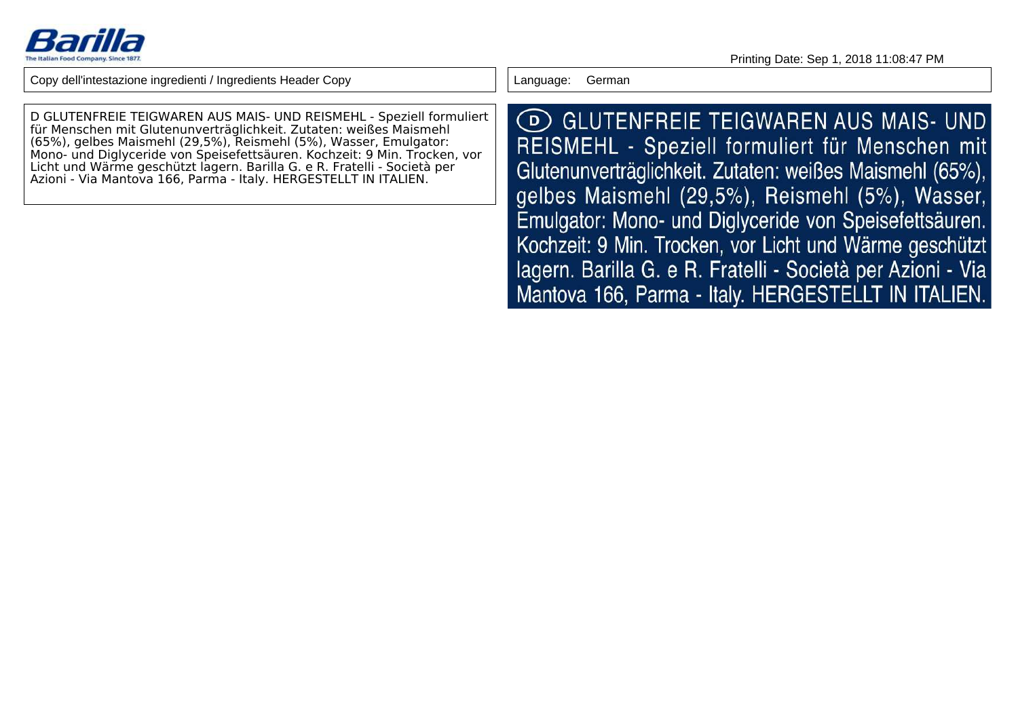

D GLUTENFREIE TEIGWAREN AUS MAIS- UND REISMEHL - Speziell formuliertfür Menschen mit Glutenunverträglichkeit. Zutaten: weißes Maismehl (65%), gelbes Maismehl (29,5%), Reismehl (5%), Wasser, Emulgator: Mono- und Diglyceride von Speisefettsäuren. Kochzeit: 9 Min. Trocken, vorLicht und Wärme geschützt lagern. Barilla G. e R. Fratelli - Società perAzioni - Via Mantova 166, Parma - Italy. HERGESTELLT IN ITALIEN.

Language: German

(D) GLUTENFREIE TEIGWAREN AUS MAIS- UND REISMEHL - Speziell formuliert für Menschen mit Glutenunverträglichkeit. Zutaten: weißes Maismehl (65%), gelbes Maismehl (29,5%), Reismehl (5%), Wasser, Emulgator: Mono- und Diglyceride von Speisefettsäuren. Kochzeit: 9 Min. Trocken, vor Licht und Wärme geschützt lagern. Barilla G. e R. Fratelli - Società per Azioni - Via Mantova 166, Parma - Italy. HERGESTELLT IN ITALIEN.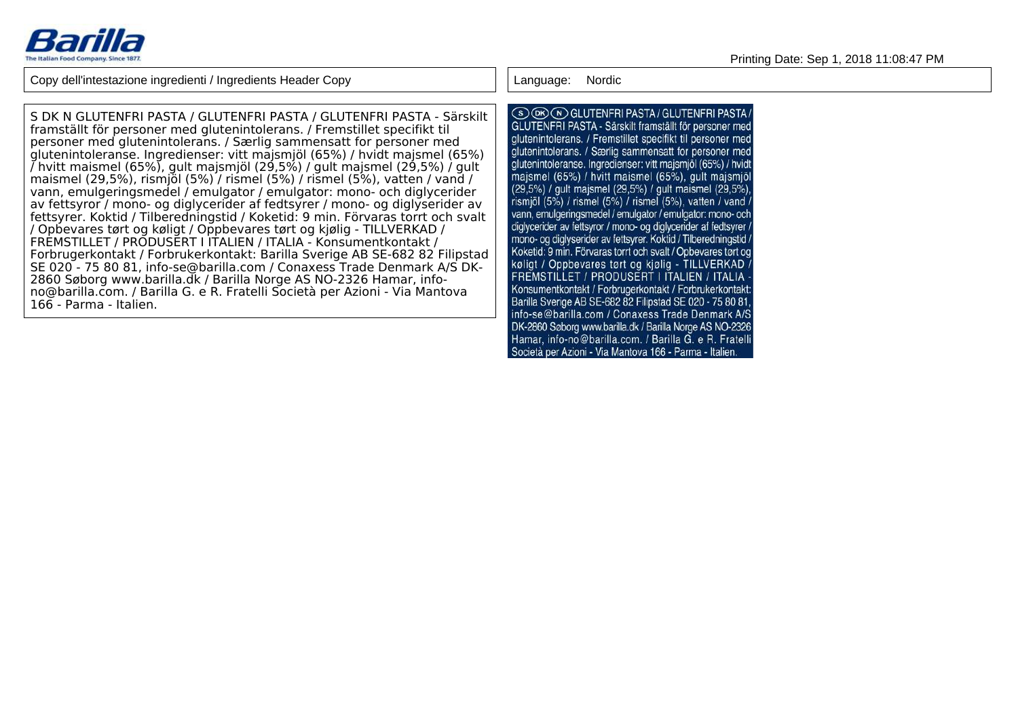

Language: Nordic

S DK N GLUTENFRI PASTA / GLUTENFRI PASTA / GLUTENFRI PASTA - Särskiltframställt för personer med glutenintolerans. / Fremstillet specifikt til personer med glutenintolerans. / Særlig sammensatt for personer med glutenintoleranse. Ingredienser: vitt majsmjöl (65%) / hvidt majsmel (65%) / hvitt maismel (65%), gult majsmjöl (29,5%) / gult majsmel (29,5%) / gult maismel (29,5%), rismjöl (5%) / rismel (5%) / rismel (5%), vatten / vand / vann, emulgeringsmedel / emulgator / emulgator: mono- och diglycerider av fettsyror / mono- og diglycerider af fedtsyrer / mono- og diglyserider av fettsyrer. Koktid / Tilberedningstid / Koketid: 9 min. Förvaras torrt och svalt/ Opbevares tørt og køligt / Oppbevares tørt og kjølig - TILLVERKAD /FREMSTILLET / PRODUSERT I ITALIEN / ITALIA - Konsumentkontakt / Forbrugerkontakt / Forbrukerkontakt: Barilla Sverige AB SE-682 82 Filipstad SE 020 - 75 80 81, info-se@barilla.com / Conaxess Trade Denmark A/S DK-2860 Søborg www.barilla.dk / Barilla Norge AS NO-2326 Hamar, infono@barilla.com. / Barilla G. e R. Fratelli Società per Azioni - Via Mantova166 - Parma - Italien.

(S) OR (N) GLUTENFRI PASTA / GLUTENFRI PASTA / GLUTENFRI PASTA - Särskilt framställt för personer med glutenintolerans. / Fremstillet specifikt til personer med glutenintolerans. / Særlig sammensatt for personer med alutenintoleranse. Ingredienser: vitt maismiöl (65%) / hvidt maismel (65%) / hvitt maismel (65%), gult maismiol (29.5%) / gult maismel (29.5%) / gult maismel (29.5%). rismiöl (5%) / rismel (5%) / rismel (5%), vatten / vand / vann. emulgeringsmedel / emulgator / emulgator: mono- och diglycerider av fettsyror / mono- og diglycerider af fedtsyrer / mono- og diglyserider av fettsyrer. Koktid / Tilberedningstid / Koketid: 9 min. Förvaras torrt och svalt / Opbevares tørt og køligt / Oppbevares tørt og kjølig - TILLVERKAD FREMSTILLET / PRODUSERT I ITALIEN / ITALIA -Konsumentkontakt / Forbrugerkontakt / Forbrukerkontakt: Barilla Sverige AB SE-682 82 Filipstad SE 020 - 75 80 81, info-se@barilla.com / Conaxess Trade Denmark A/S DK-2860 Søborg www.barilla.dk / Barilla Norge AS NO-2326 Hamar, info-no@barilla.com. / Barilla G. e R. Fratelli Società per Azioni - Via Mantova 166 - Parma - Italien.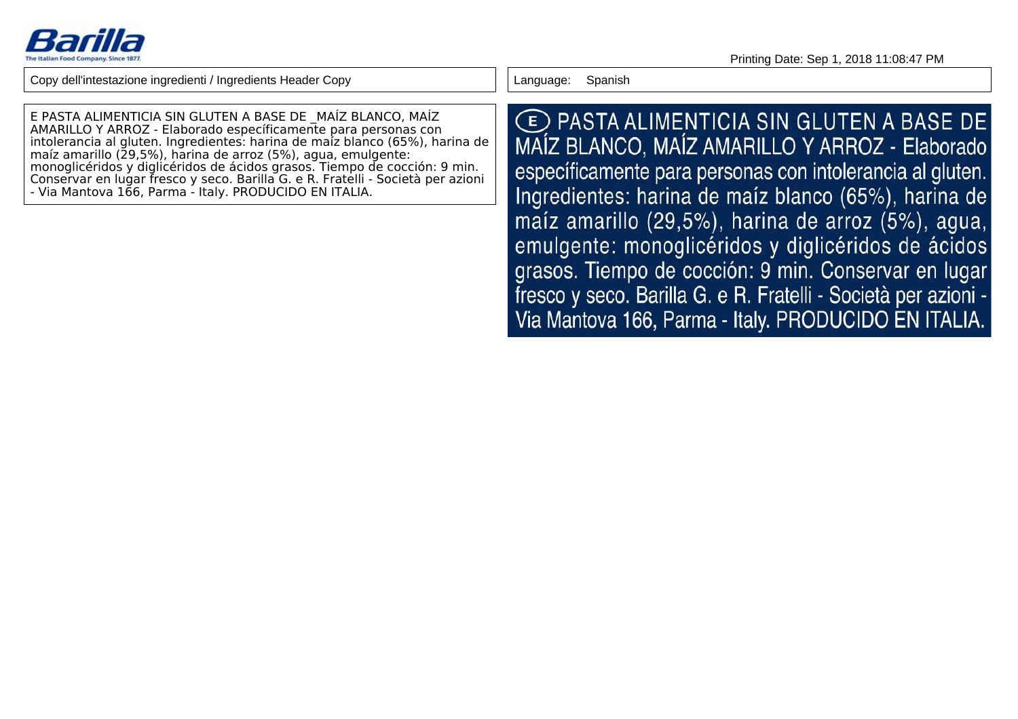

E PASTA ALIMENTICIA SIN GLUTEN A BASE DE \_MAÍZ BLANCO, MAÍZ AMARILLO Y ARROZ - Elaborado específicamente para personas con intolerancia al gluten. Ingredientes: harina de maíz blanco (65%), harina demaíz amarillo (29,5%), harina de arroz (5%), agua, emulgente: monoglicéridos y diglicéridos de ácidos grasos. Tiempo de cocción: 9 min. Conservar en lugar fresco y seco. Barilla G. e R. Fratelli - Società per azioni- Via Mantova 166, Parma - Italy. PRODUCIDO EN ITALIA.

Language: Spanish

**E PASTA ALIMENTICIA SIN GLUTEN A BASE DE** MAÍZ BLANCO, MAÍZ AMARILLO Y ARROZ - Elaborado específicamente para personas con intolerancia al gluten. Ingredientes: harina de maíz blanco (65%), harina de maíz amarillo (29,5%), harina de arroz (5%), agua, emulgente: monoglicéridos y diglicéridos de ácidos grasos. Tiempo de cocción: 9 min. Conservar en lugar fresco y seco. Barilla G. e R. Fratelli - Società per azioni -Via Mantova 166, Parma - Italy. PRODUCIDO EN ITALIA.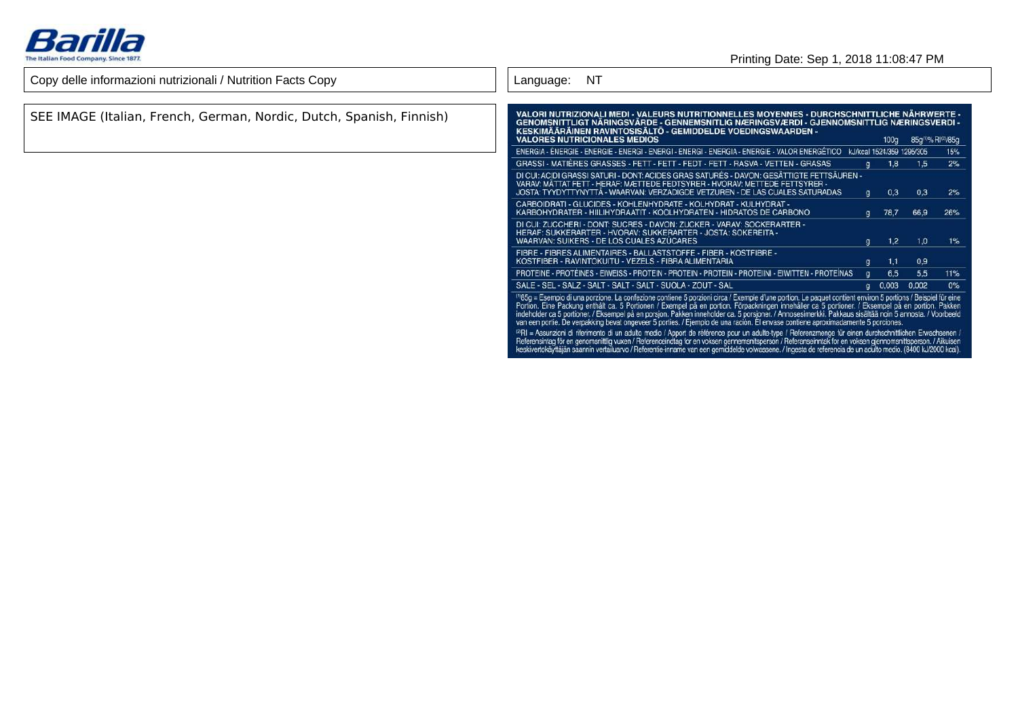

### Printing Date: Sep 1, 2018 11:08:47 PM

| Copy delle informazioni nutrizionali / Nutrition Facts Copy          | NT.<br>Language:                                                                                                                                                                                                                                                                                                                                                                                                                                                                                                                                                                                                                                                                                                                                                                                                                                                                                                                                                                                                                       |
|----------------------------------------------------------------------|----------------------------------------------------------------------------------------------------------------------------------------------------------------------------------------------------------------------------------------------------------------------------------------------------------------------------------------------------------------------------------------------------------------------------------------------------------------------------------------------------------------------------------------------------------------------------------------------------------------------------------------------------------------------------------------------------------------------------------------------------------------------------------------------------------------------------------------------------------------------------------------------------------------------------------------------------------------------------------------------------------------------------------------|
| SEE IMAGE (Italian, French, German, Nordic, Dutch, Spanish, Finnish) | VALORI NUTRIZIONALI MEDI - VALEURS NUTRITIONNELLES MOYENNES - DURCHSCHNITTLICHE NÄHRWERTE -<br>GENOMSNITTLIGT NÄRINGSVÄRDE - GENNEMSNITLIG NÆRINGSVÆRDI - GJENNOMSNITTLIG NÆRINGSVERDI -<br>KESKIMÄÄRÄINEN RAVINTOSISÄLTÖ - GEMIDDELDE VOEDINGSWAARDEN -<br><b>VALORES NUTRICIONALES MEDIOS</b><br>100g 85g <sup>m</sup> %RI <sup>(2)</sup> /85g                                                                                                                                                                                                                                                                                                                                                                                                                                                                                                                                                                                                                                                                                       |
|                                                                      | ENERGIA - ENERGIE - ENERGIE - ENERGI - ENERGI - ENERGI - ENERGIA - ENERGIE - VALOR ENERGÉTICO<br>kJ/kcal 1524/359 1295/305<br>15%                                                                                                                                                                                                                                                                                                                                                                                                                                                                                                                                                                                                                                                                                                                                                                                                                                                                                                      |
|                                                                      | GRASSI - MATIERES GRASSES - FETT - FETT - FEDT - FETT - RASVA - VETTEN - GRASAS<br>2%<br>1,8<br>1,5<br>$\alpha$                                                                                                                                                                                                                                                                                                                                                                                                                                                                                                                                                                                                                                                                                                                                                                                                                                                                                                                        |
|                                                                      | DI CUI: ACIDI GRASSI SATURI - DONT: ACIDES GRAS SATURÉS - DAVON: GESÄTTIGTE FETTSÄUREN -<br>VARAV: MÄTTAT FETT - HERAF: MÆTTEDE FEDTSYRER - HVORAV: METTEDE FETTSYRER -<br>JOSTA: TYYDYTTYNYTTÄ - WAARVAN: VERZADIGDE VETZUREN - DE LAS CUALES SATURADAS<br>0,3<br>0,3<br>2%<br>g.                                                                                                                                                                                                                                                                                                                                                                                                                                                                                                                                                                                                                                                                                                                                                     |
|                                                                      | CARBOIDRATI - GLUCIDES - KOHLENHYDRATE - KOLHYDRAT - KULHYDRAT -<br>KARBOHYDRATER - HIILIHYDRAATIT - KOOLHYDRATEN - HIDRATOS DE CARBONO<br>78,7<br>66,9<br>26%<br>g.                                                                                                                                                                                                                                                                                                                                                                                                                                                                                                                                                                                                                                                                                                                                                                                                                                                                   |
|                                                                      | DI CUI: ZUCCHERI - DONT: SUCRES - DAVON: ZUCKER - VARAV: SOCKERARTER -<br>HERAF: SUKKERARTER - HVORAV: SUKKERARTER - JOSTA: SOKEREITA -<br>WAARVAN: SUIKERS - DE LOS CUALES AZUCARES<br>1,2<br>1,0<br>1%<br>g.                                                                                                                                                                                                                                                                                                                                                                                                                                                                                                                                                                                                                                                                                                                                                                                                                         |
|                                                                      | FIBRE - FIBRES ALIMENTAIRES - BALLASTSTOFFE - FIBER - KOSTFIBRE -<br>KOSTFIBER - RAVINTOKUITU - VEZELS - FIBRA ALIMENTARIA<br>0,9<br>1,1                                                                                                                                                                                                                                                                                                                                                                                                                                                                                                                                                                                                                                                                                                                                                                                                                                                                                               |
|                                                                      | PROTEINE - PROTÉINES - EIWEISS - PROTEIN - PROTEIN - PROTEIN - PROTEINI - EIWITTEN - PROTEINAS<br>6,5<br>5,5<br>11%                                                                                                                                                                                                                                                                                                                                                                                                                                                                                                                                                                                                                                                                                                                                                                                                                                                                                                                    |
|                                                                      | SALE - SEL - SALZ - SALT - SALT - SALT - SUOLA - ZOUT - SAL<br>$q = 0,003 = 0,002$<br>0%                                                                                                                                                                                                                                                                                                                                                                                                                                                                                                                                                                                                                                                                                                                                                                                                                                                                                                                                               |
|                                                                      | <sup>11</sup> 85g = Esempio di una porzione. La confezione contiene 5 porzioni circa / Exemple d'une portion. Le paquet contient environ 5 portions / Beispiel für eine<br>Portion. Eine Packung enthält ca. 5 Portionen / Exempel på en po<br>indeholder ca 5 portioner. / Eksempel på en porsjon. Pakken inneholder ca. 5 porsjoner. / Annosesimerkki. Pakkaus sisältää noin 5 annosta. / Voorbeeld<br>van een portie. De verpakking bevat ongeveer 5 porties. / Ejemplo de una ración. El envase contiene aproximadamente 5 porciones.<br>1/4 Pil = Assunzioni di riferimento di un adulto medio / Apport de référence pour un adulte-type / Referenzmenge für einen durchschnittlichen Erwachsenen /<br>Referensintag för en genomsnittlig vuxen / Referenceindtag for en voksen gennemsnitsperson / Referanseinntak for en voksen gjennomsnittsperson. / Aikuisen<br>keskivertokäyttäjän saannin vertailuarvo / Referentie-inname van een gemiddelde volwassene. / Ingesta de referencia de un adulto medio. (8400 kJ/2000 kcal). |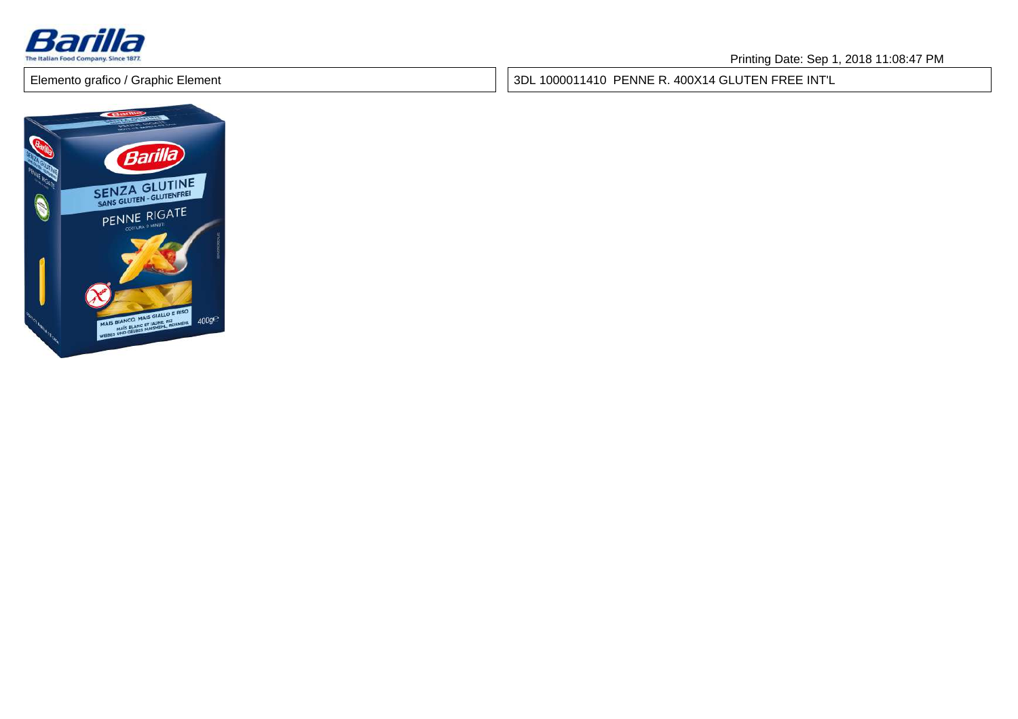

3DL 1000011410 PENNE R. 400X14 GLUTEN FREE INT'L

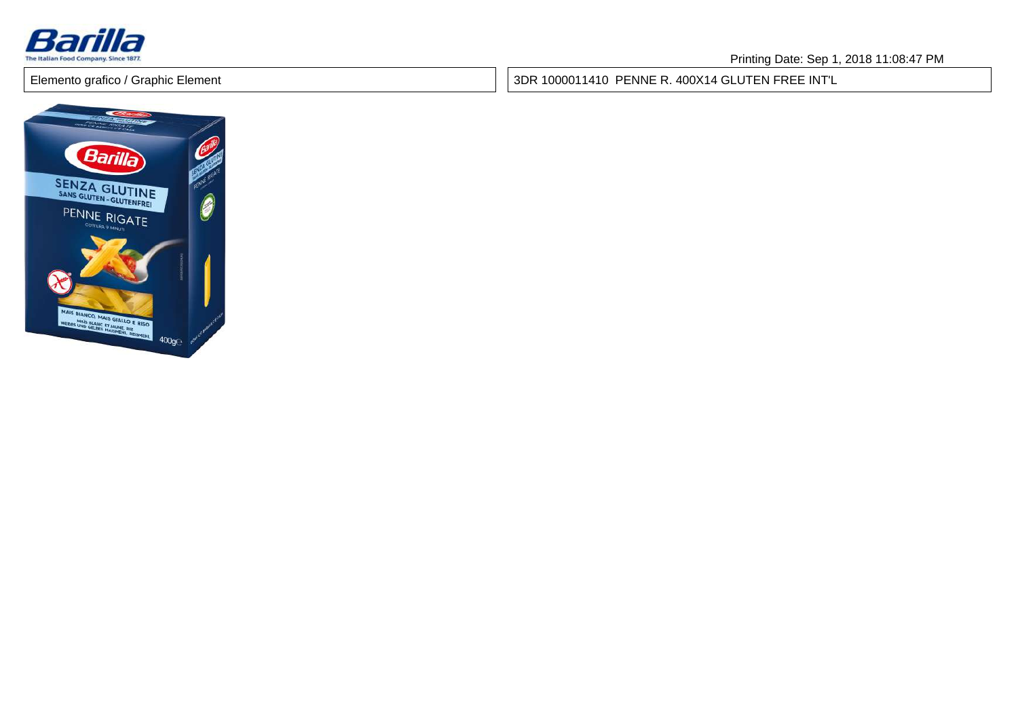

3DR 1000011410 PENNE R. 400X14 GLUTEN FREE INT'L

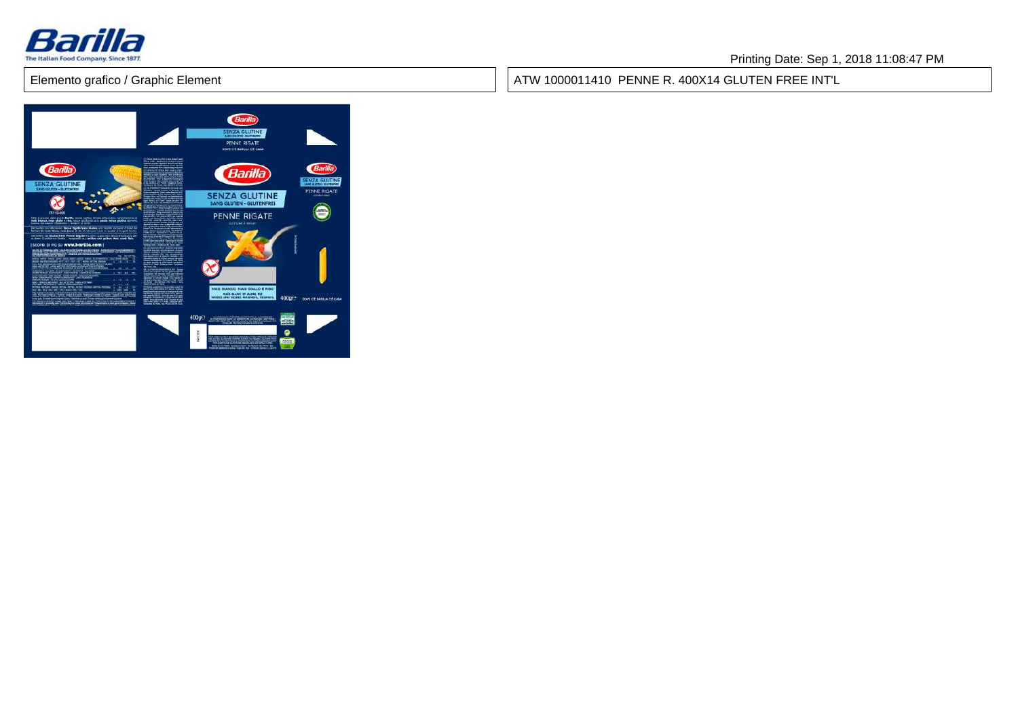

ATW 1000011410 PENNE R. 400X14 GLUTEN FREE INT'L

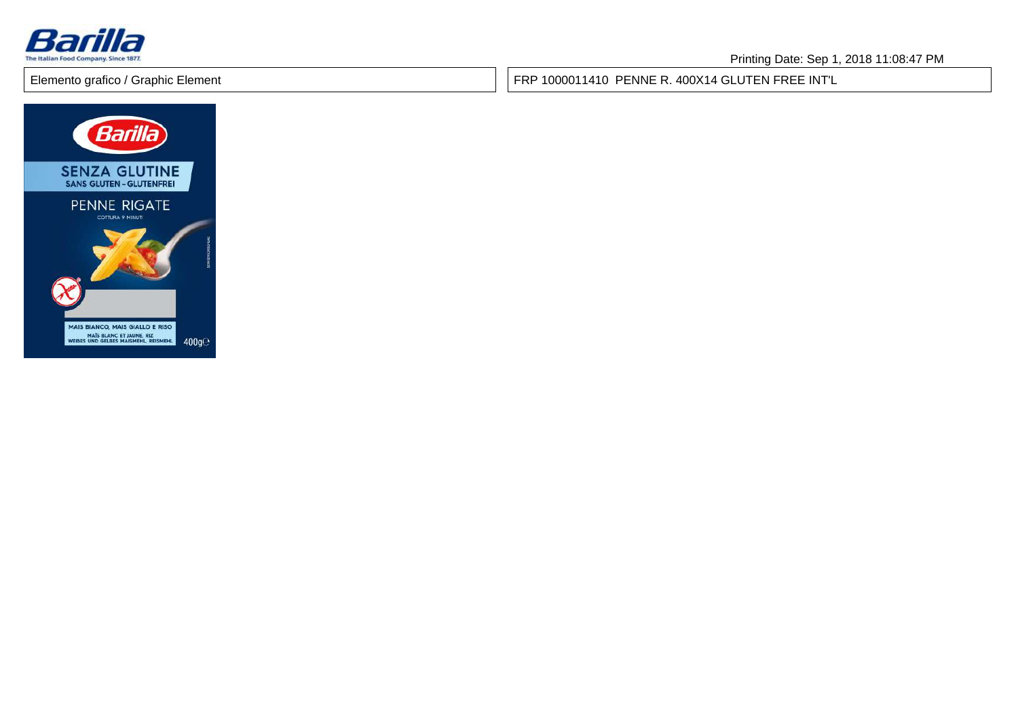

FRP 1000011410 PENNE R. 400X14 GLUTEN FREE INT'L

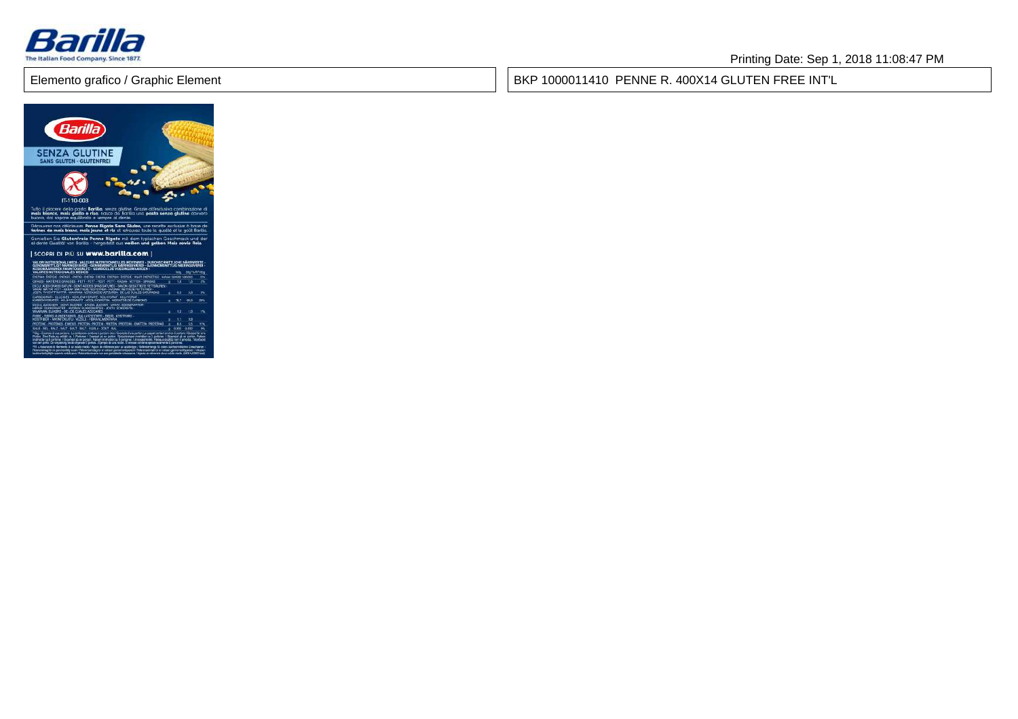

### Printing Date: Sep 1, 2018 11:08:47 PM

BKP 1000011410 PENNE R. 400X14 GLUTEN FREE INT'L

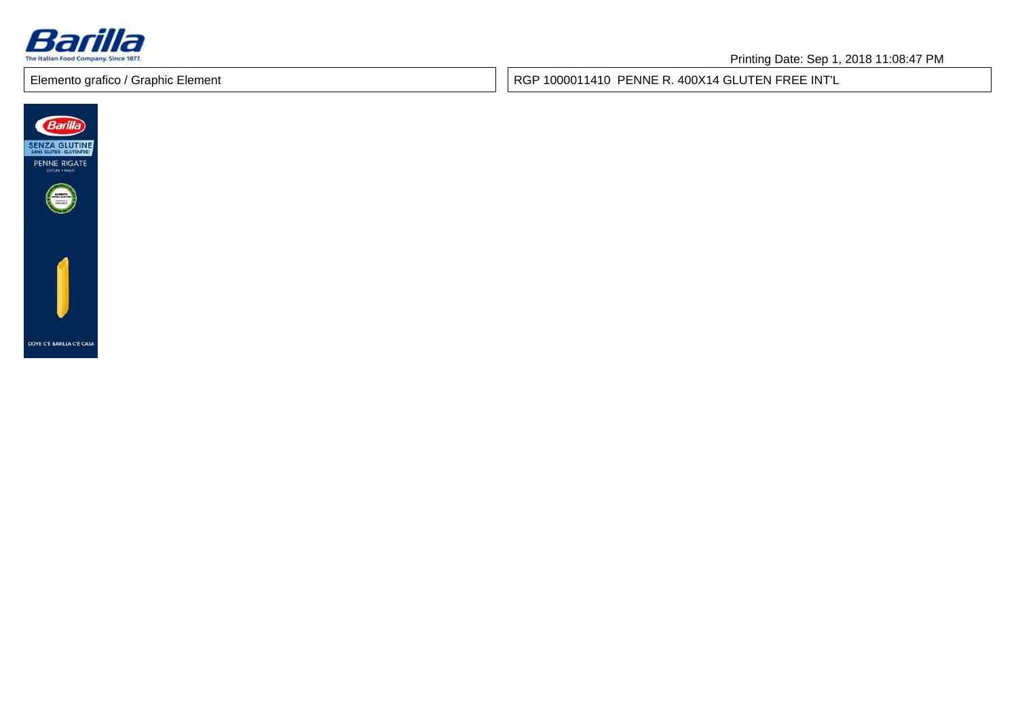

RGP 1000011410 PENNE R. 400X14 GLUTEN FREE INT'L

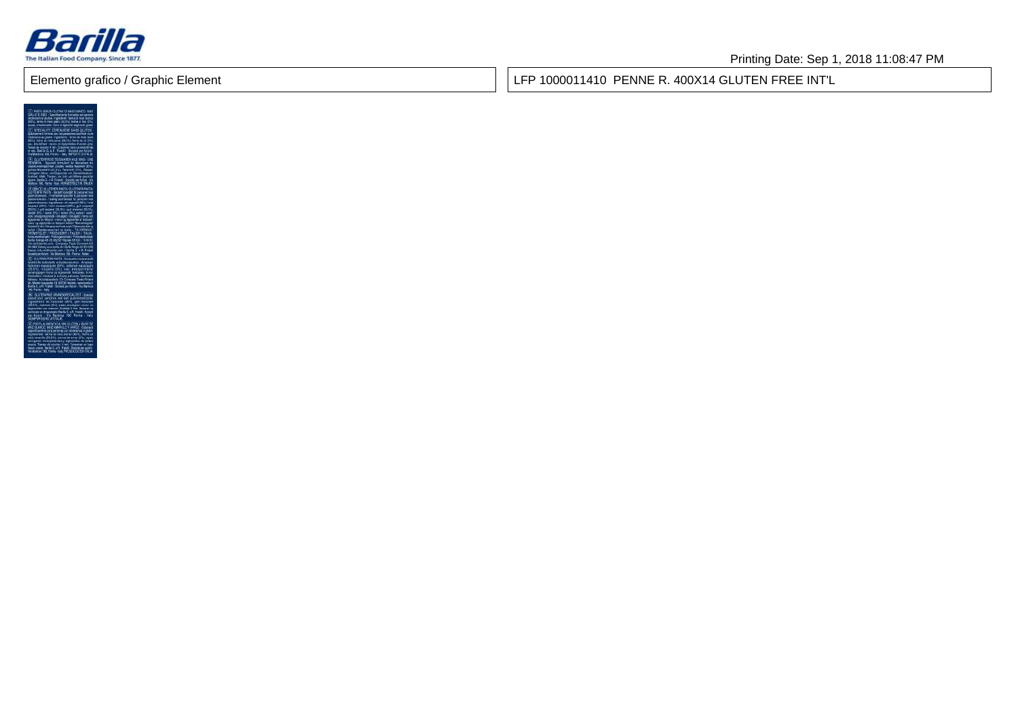

Printing Date: Sep 1, 2018 11:08:47 PM

Elemento grafico / Graphic Element

LFP 1000011410 PENNE R. 400X14 GLUTEN FREE INT'L

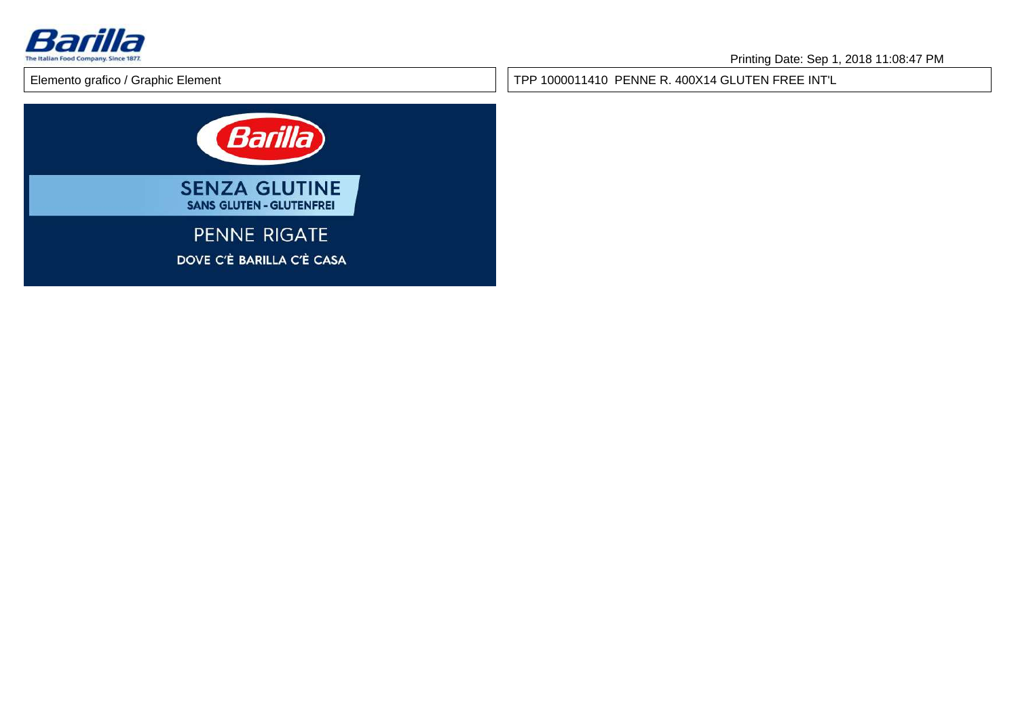

TPP 1000011410 PENNE R. 400X14 GLUTEN FREE INT'L

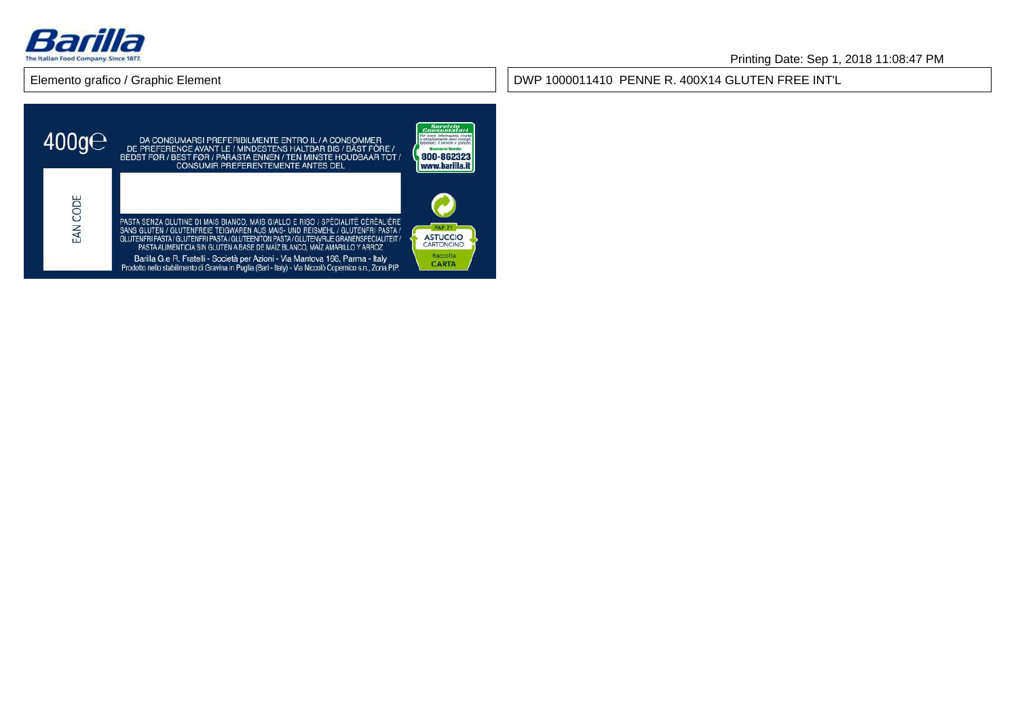

#### DWP 1000011410 PENNE R. 400X14 GLUTEN FREE INT'L